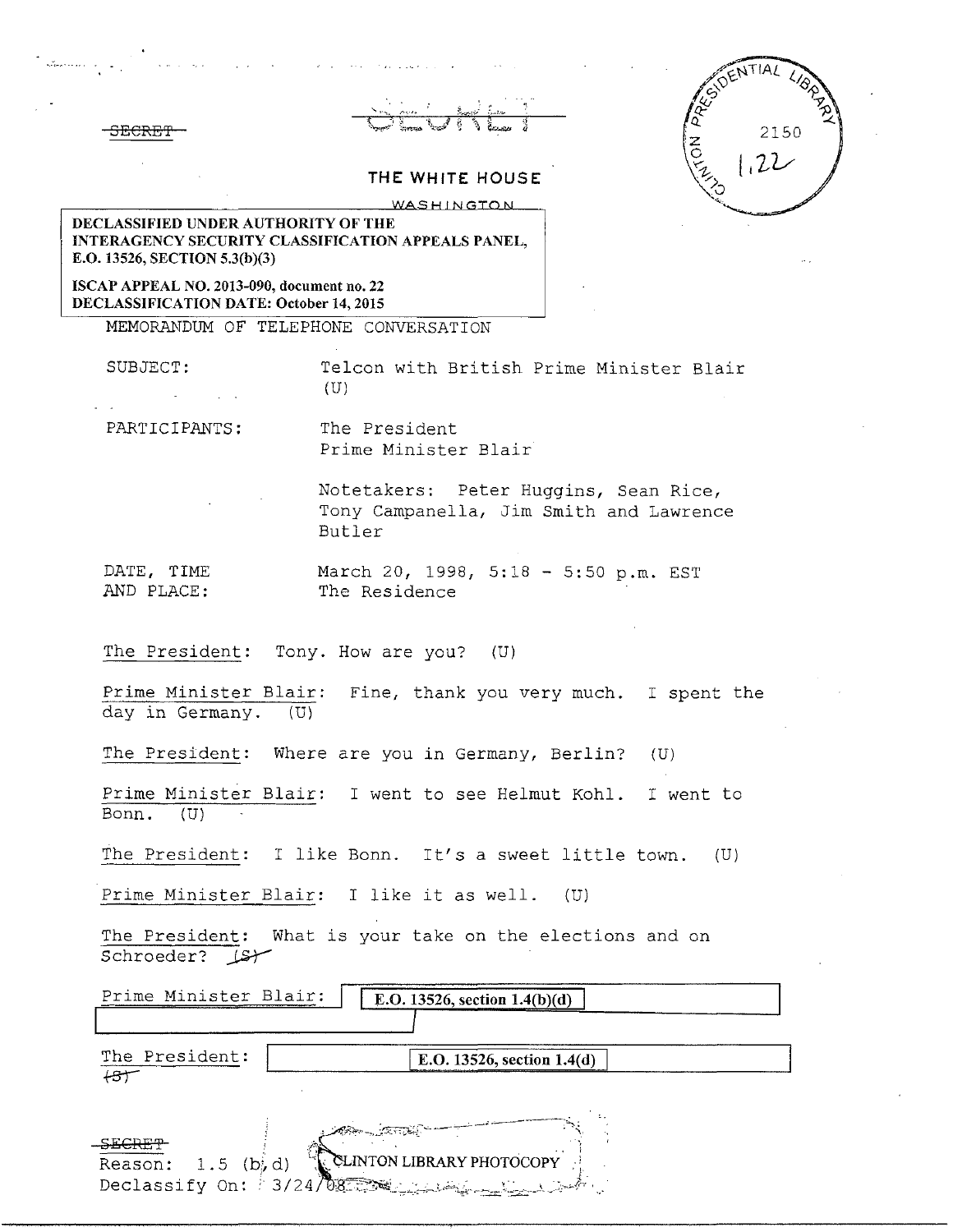|       |  | ממממ |  |  |
|-------|--|------|--|--|
| JECAL |  |      |  |  |
|       |  |      |  |  |

|                 | ESIDENTIAL<br>$\mathcal{U}_{\mathcal{E}}$ |
|-----------------|-------------------------------------------|
| $rac{2}{\circ}$ | 2150                                      |
|                 | .22                                       |
|                 |                                           |

## **THE WHITE HOUSE** WASHINGTON

**DECLASSIFIED UNDER AUTHORITY OF THE INTERAGENCY SECURITY CLASSIFICATION APPEALS PANEL, E.O. 13526, SECTION 5.3(b)(3)** 

**ISCAP APPEAL NO. 2013-090, document no. 22 DECLASSIFICATION DATE: October 14, 2015** 

MEMORANDUM OF TELEPHONE CONVERSATION

SUBJECT: Telcon with British Prime Minister Blair (U)

PARTICIPANTS: The President

Reason:  $1.5$  (b) $d$ )

Declassify On:  $3/24/\sqrt{28}$ 

Prime Minister Blair

Notetakers: Peter Huggins, Sean Rice, Tony Campanella, Jim Smith and Lawrence Butler

DATE, TIME March 20, 1998, 5:18 - 5:50 p.m. EST<br>AND PLACE: The Residence The Residence

The President: Tony. How are you? (U)

Prime Minister Blair: Fine, thank you very much. I spent the day in Germany. (U)

The President: Where are you in Germany, Berlin? (U)

Prime Minister Blair: I went to see Helmut Kohl. I went to Bonn. (U)

The President: I like Bonn. It's a sweet little town. (U)

Prime Minister Blair: I like it as well. (U)

The President: What is your take on the elections and on Schroeder?  $\sqrt{2}$ 

| Prime Minister Blair: | E.O. 13526, section $1.4(b)(d)$                                                                                                                                                                                                |  |
|-----------------------|--------------------------------------------------------------------------------------------------------------------------------------------------------------------------------------------------------------------------------|--|
| The President:        | E.O. 13526, section 1.4(d)                                                                                                                                                                                                     |  |
| erenten.              | and the contract of the contract of the contract of the contract of the contract of the contract of the contract of the contract of the contract of the contract of the contract of the contract of the contract of the contra |  |

CLINTON LIBRARY PHOTOCOPY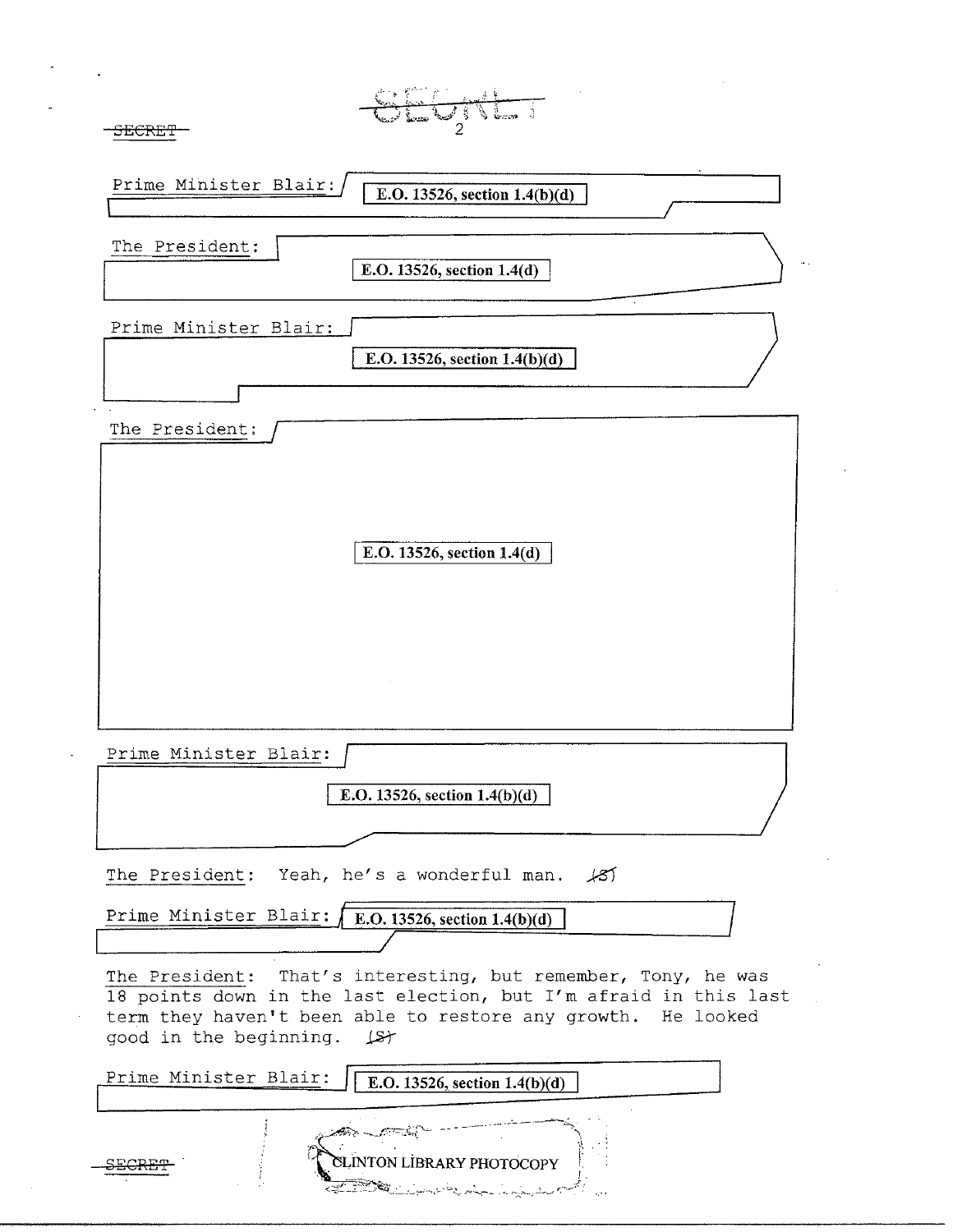|                | Prime Minister Blair:<br>E.O. 13526, section $1.4(b)(d)$                                                                                                                                                                                                                      |
|----------------|-------------------------------------------------------------------------------------------------------------------------------------------------------------------------------------------------------------------------------------------------------------------------------|
| The President: | E.O. 13526, section 1.4(d)                                                                                                                                                                                                                                                    |
|                | Prime Minister Blair:<br>E.O. 13526, section $1.4(b)(d)$                                                                                                                                                                                                                      |
| The President: |                                                                                                                                                                                                                                                                               |
|                | E.O. 13526, section 1.4(d)                                                                                                                                                                                                                                                    |
|                | Prime Minister Blair:                                                                                                                                                                                                                                                         |
|                | E.O. 13526, section 1.4(b)(d)                                                                                                                                                                                                                                                 |
|                | The President: Yeah, he's a wonderful man.<br>أكتكمه<br>Prime Minister Blair:<br>E.O. 13526, section $1.4(b)(d)$                                                                                                                                                              |
| The President: | That's interesting, but remember, Tony, he was<br>18 points down in the last election, but I'm afraid in this last<br>term they haven't been able to restore any growth. He looked<br>good in the beginning. $\Box$<br>Prime Minister Blair:<br>E.O. 13526, section 1.4(b)(d) |
|                | <b>CLINTON LIBRARY PHOTOCOPY</b><br>23 M                                                                                                                                                                                                                                      |

 $\hat{\mathcal{S}}$ 

 $\omega$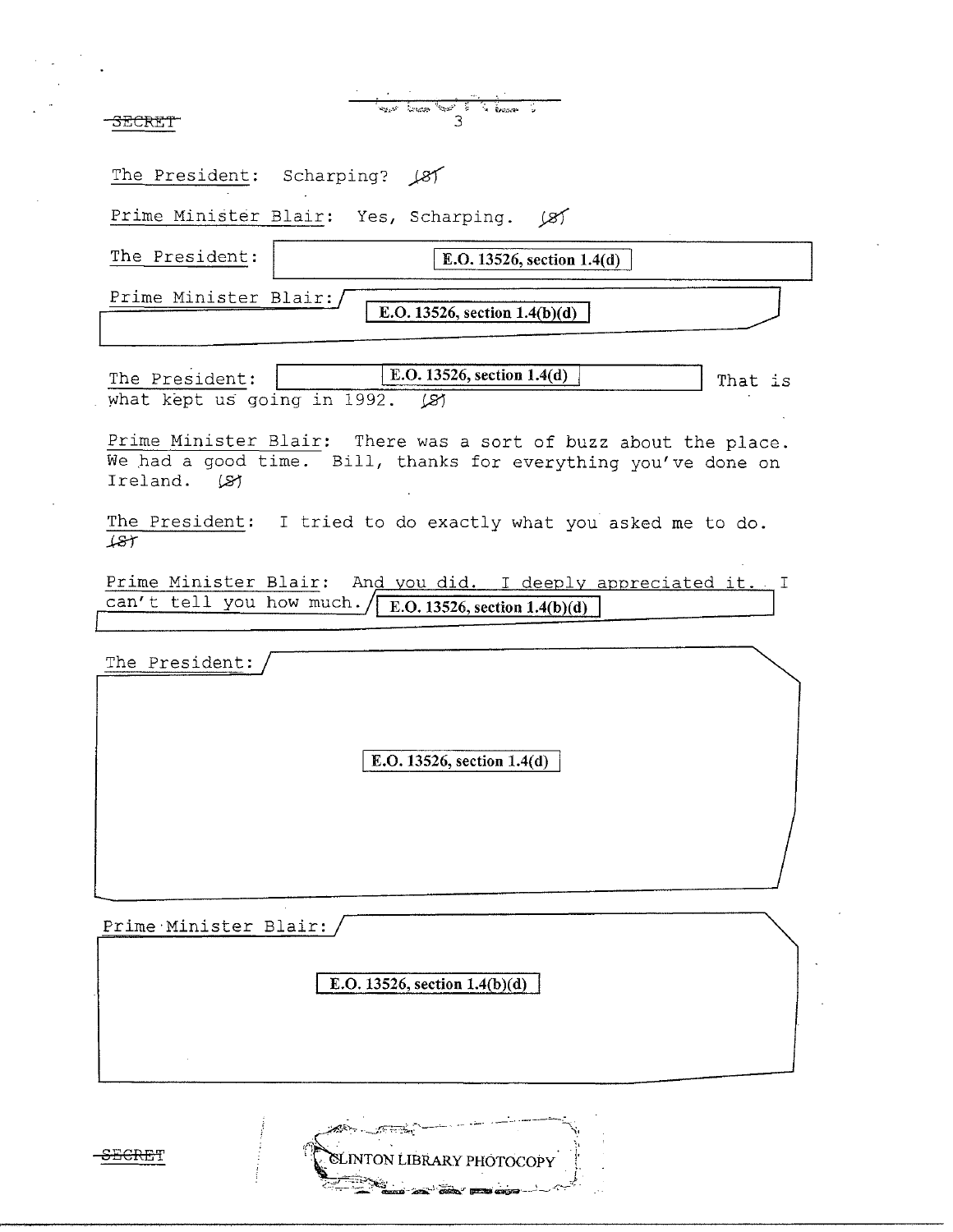$\frac{1}{3}$   $\frac{1}{3}$ 

The President: Scharping? (8)

Prime Minister Blair: Yes, Scharping. *j2f* 

**The President: IE.O. 13526, section 1.4(d)** 

Prime Minister Blair:

**E.O. 13526, section 1.4(b)(d)** 

The President: **I.O. 13526, section 1.4(d)** That is what kept us going in 1992. (8)

Prime Minister Blair: There was a sort of buzz about the place. We had a good time. Bill, thanks for everything you've done on Ireland. (21

The President: I tried to do exactly what you asked me to do.  $+8$ 

Prime Minister Blair: And you did. I deeply appreciated it. I can't tell you how much. **F.O. 13526, section 1.4(b)(d)** 

The President:

E.O. 13526, section 1.4(d)

Prime·Minister Blair:

**E.O. 13526, section 1.4(b)(d)** 

LINTON LIBRARY PHOTOCOPY

£EGRET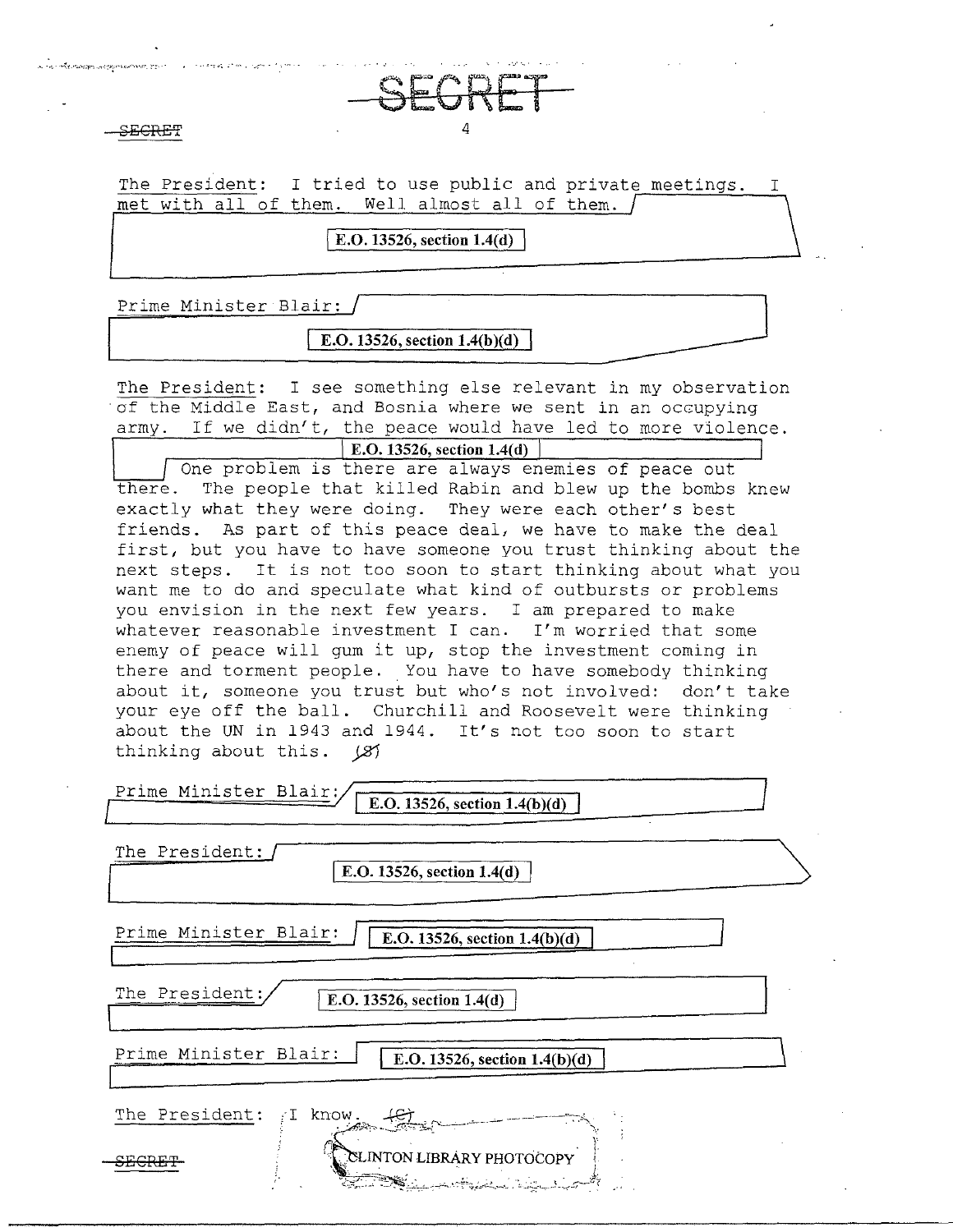$\overline{A}$  and  $\overline{A}$  4

.<br>Mandani Ludejan mančno kritičnih pri

The President: I tried to use public and private meetings. met with all of them. Well almost all of them.

**SECRET** 

I **E.O. 13526, section 1.4(d)** 

Prime Minister Blair:

**I E.O. 13526, section l.4(b)(d)** 

The President: I see something else relevant in my observation of the Middle East, and Bosnia where we sent in an occupying army. If we didn't, the peace would have led to more violence. **E.O. 13526, section 1.4(d)** 

One problem is there are always enemies of peace out there. The people that killed Rabin and blew up the bombs knew exactly what they were doing. They were each other's best friends. As part of this peace deal, we have to make the deal first, but you have to have someone you trust thinking about the next steps. It is not too soon to start thinking about what you want me to do and speculate what kind of outbursts or problems you envision in the next few years. I am prepared to make whatever reasonable investment I can. I'm worried that some enemy of peace will gum it up, stop the investment coming in there and torment people. You have to have somebody thinking about it, someone you trust but who's not involved: don't take your eye off the ball. Churchill and Roosevelt were thinking about the UN in 1943 and 1944. It's not too soon to start thinking about this.  $\cancel{(3)}$ 

| Prime Minister Blair:<br>E.O. 13526, section $1.4(b)(d)$                                                                                                                                                                                                          |  |
|-------------------------------------------------------------------------------------------------------------------------------------------------------------------------------------------------------------------------------------------------------------------|--|
| The President:<br>E.O. 13526, section 1.4(d)                                                                                                                                                                                                                      |  |
| Prime Minister Blair:<br>E.O. 13526, section 1.4(b)(d)                                                                                                                                                                                                            |  |
| The President:<br>E.O. 13526, section 1.4(d)                                                                                                                                                                                                                      |  |
| Prime Minister Blair:<br>E.O. 13526, section $1.4(b)(d)$                                                                                                                                                                                                          |  |
| The President:<br>know.                                                                                                                                                                                                                                           |  |
| CLINTON LIBRARY PHOTOCOPY<br><u>All Charles And Charles and Script and Albert Charles and Charles and Charles and Charles and Charles and Charles and Charles and Charles and Charles and Charles and Charles and Charles and Charles and Charles and Charles</u> |  |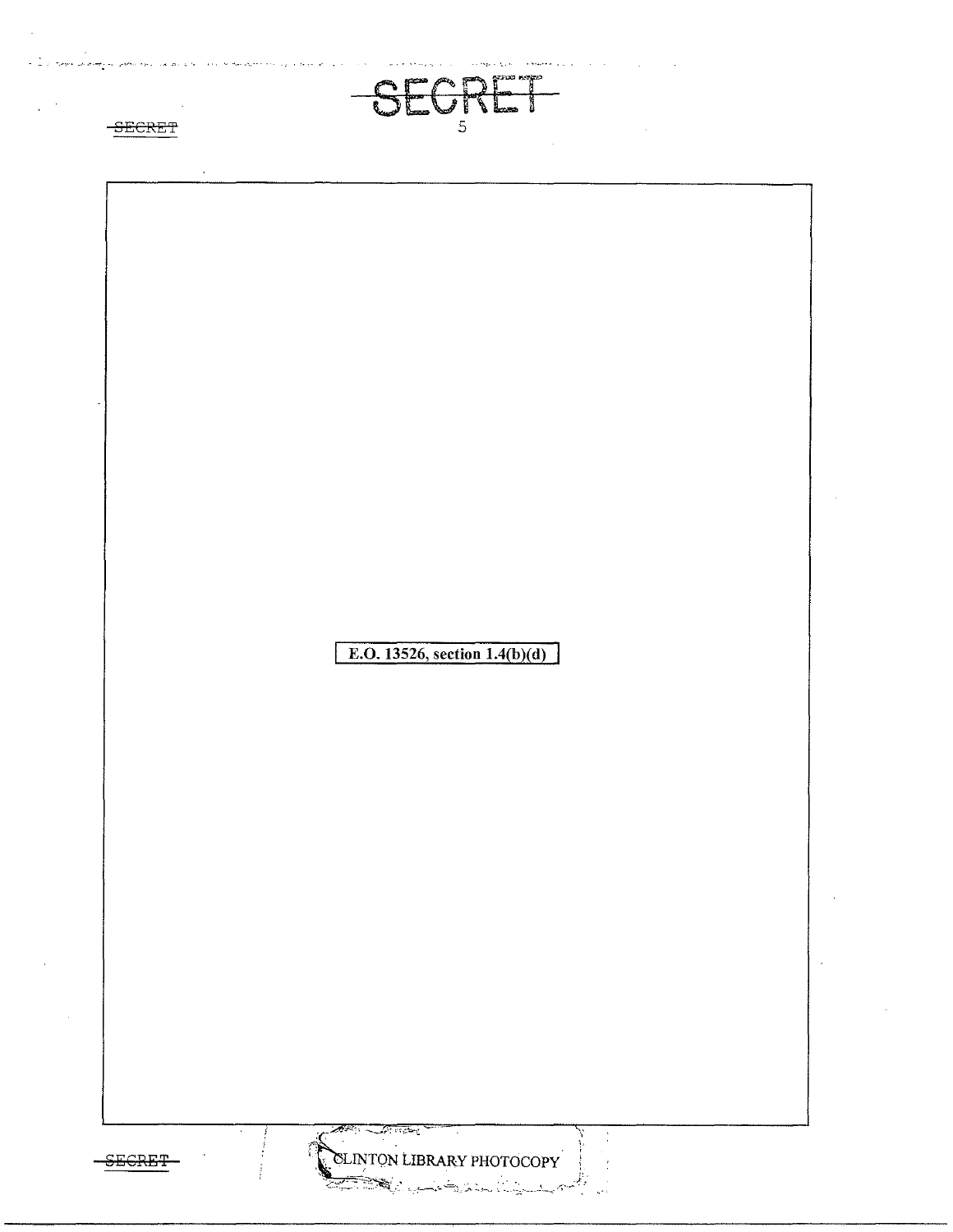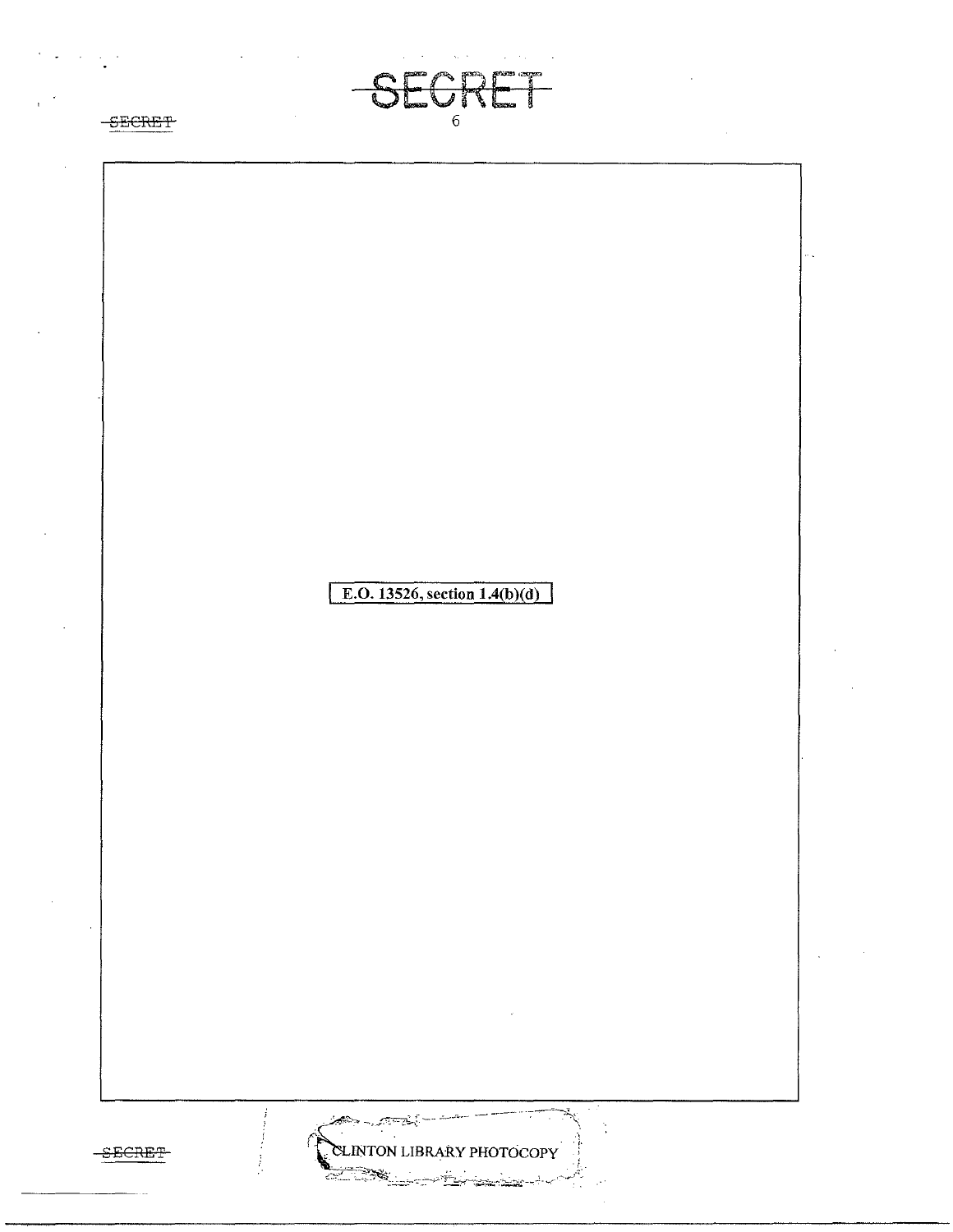SORET  $-\mathbb{S}$ i **SECRET**  $\overline{6}$ E.O. 13526, section  $1.4(b)(d)$  $\frac{1}{\sqrt{2}}$ CLINTON LIBRARY PHOTOCOPY  $-$ SECRET 728  $\mathcal{L}$  :

 $\mathcal{O}(\mathcal{O}(\log n))$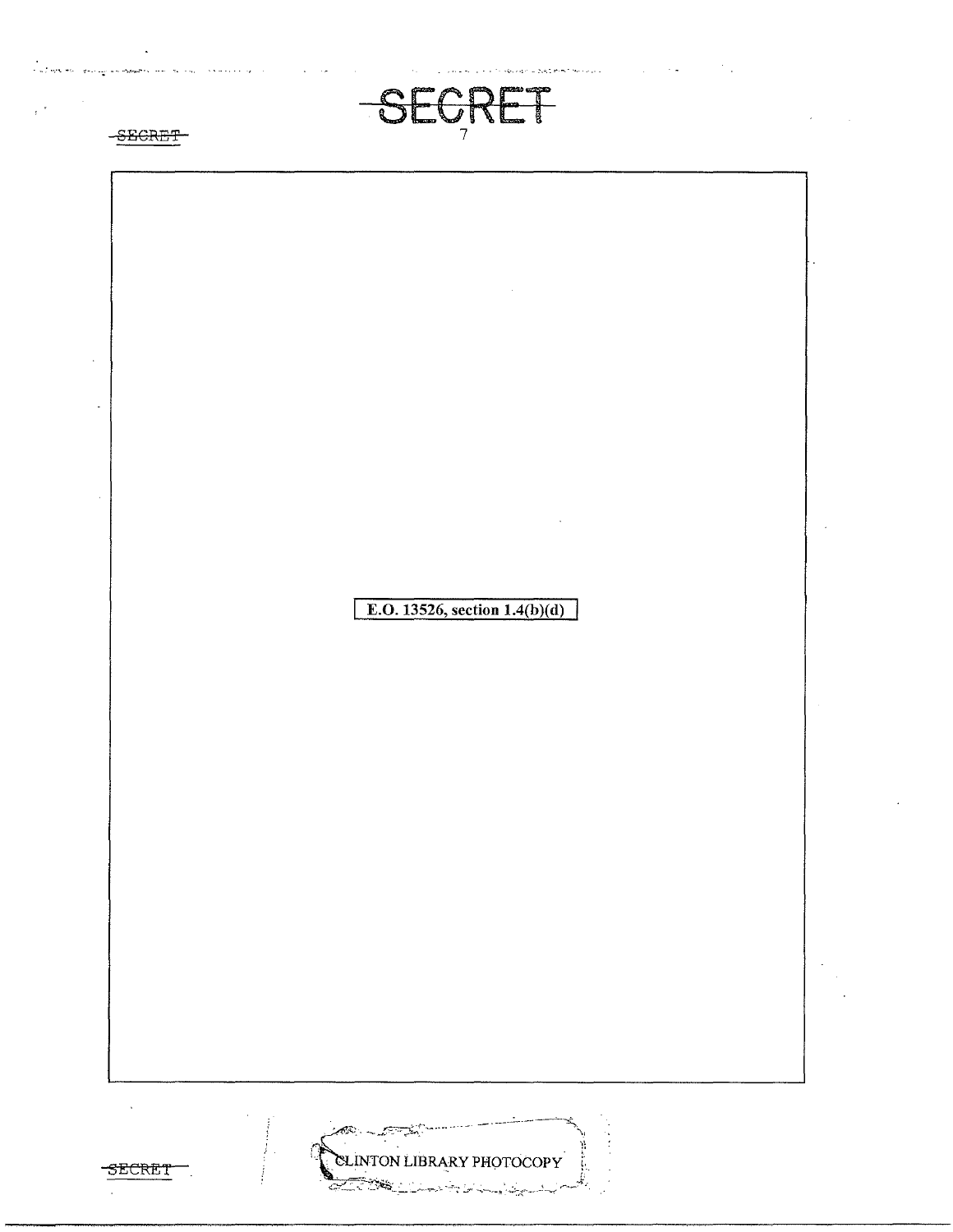

n ka shekara ya katika



.<br>Slovenské početky se se poč

 $\frac{1}{2}$  ,  $\frac{1}{2}$  ,  $\frac{1}{2}$  ,  $\frac{1}{2}$ 

 $\mathcal{L}_{\text{max}}$  , where  $\mathcal{L}_{\text{max}}$  ,  $\mathcal{L}_{\text{max}}$ 



CLINTON LIBRARY PHOTOCOPY

కావు -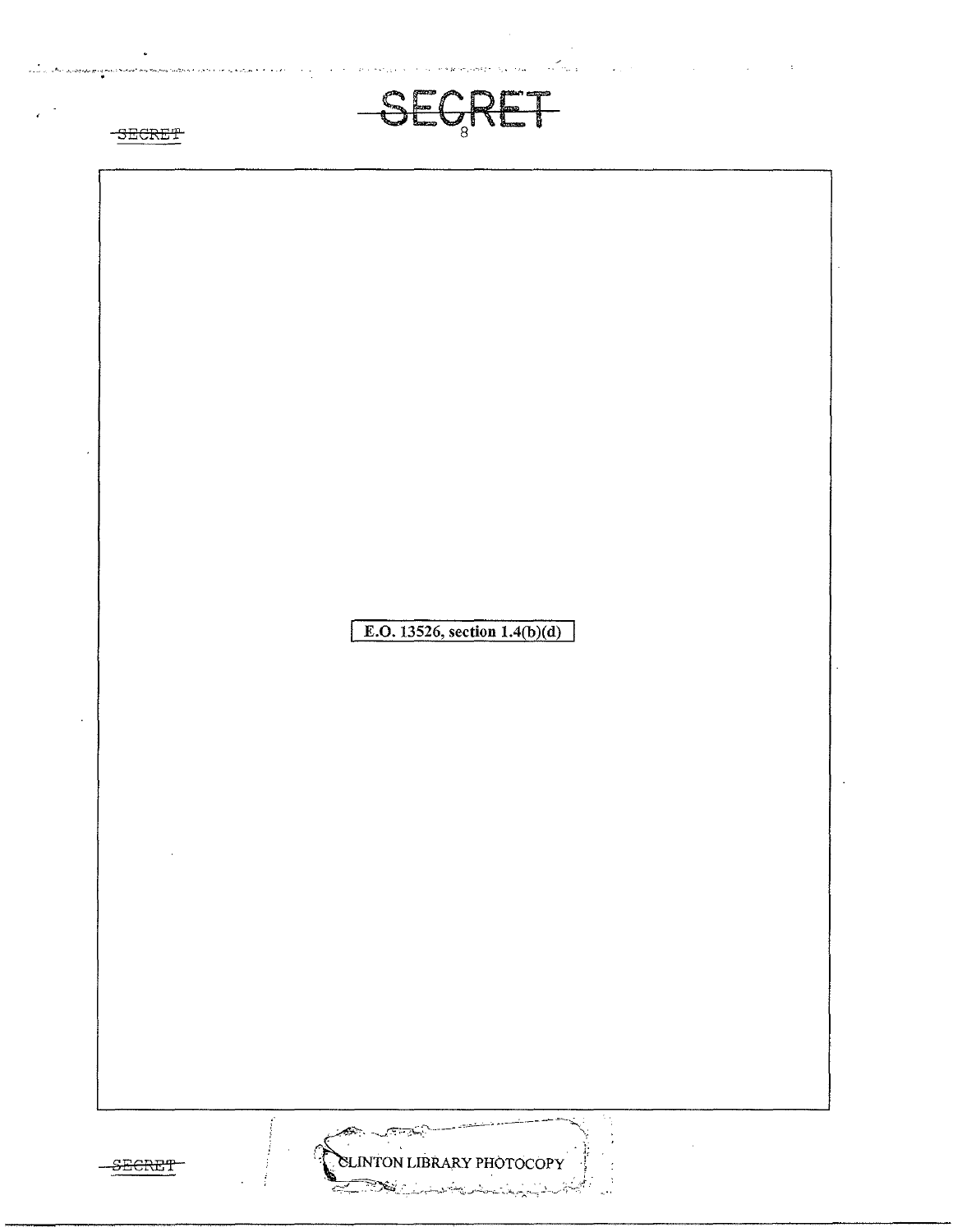

 $\sim$ 



د.<br>دوم المحافظ المجمع بين بير من المحافظ المجموع السياسي.<br>المجموع

 $\label{eq:1} \left\langle \hat{u}_{\alpha} \right\rangle_{\alpha} = \hat{u}_{\alpha} \left\langle \hat{u}_{\alpha} \right\rangle_{\alpha} = \hat{u}_{\alpha} \left\langle \hat{u}_{\alpha} \right\rangle_{\alpha} = \hat{u}_{\alpha} \left\langle \hat{u}_{\alpha} \right\rangle_{\alpha} = \hat{u}_{\alpha} \left\langle \hat{u}_{\alpha} \right\rangle_{\alpha} = \hat{u}_{\alpha} \left\langle \hat{u}_{\alpha} \right\rangle_{\alpha} = \hat{u}_{\alpha} \left\langle \hat{u}_{\alpha} \right\rangle_{\alpha} = \hat{u}_{\alpha} \left\langle \hat{u}_{\$ 

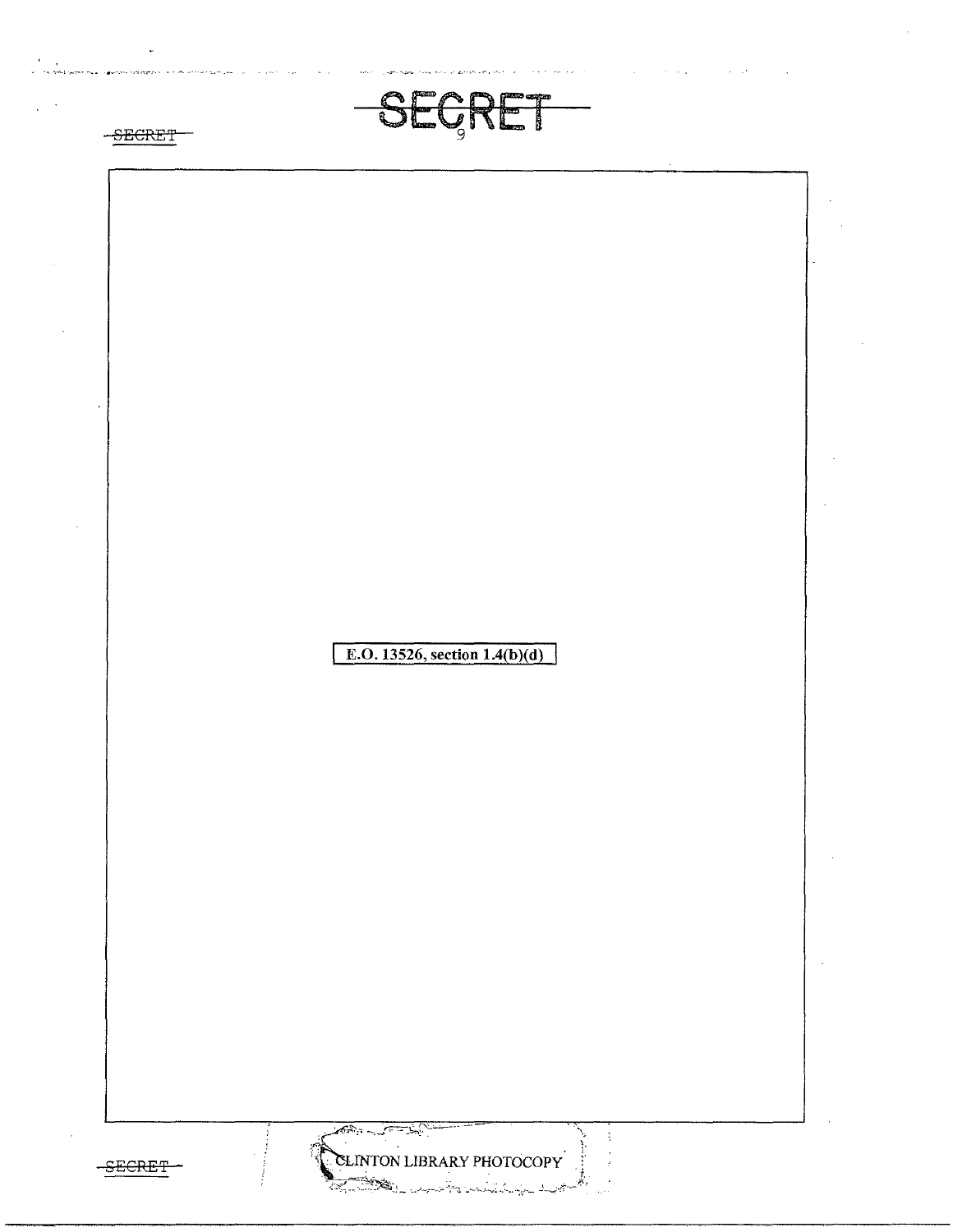